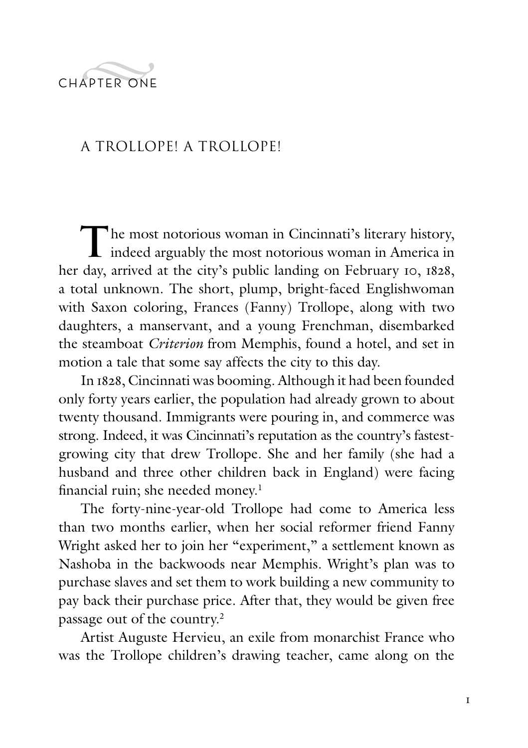

## A Trollope! A Trollope!

The most notorious woman in Cincinnati's literary history, indeed arguably the most notorious woman in America in her day, arrived at the city's public landing on February 10, 1828, a total unknown. The short, plump, bright-faced Englishwoman with Saxon coloring, Frances (Fanny) Trollope, along with two daughters, a manservant, and a young Frenchman, disembarked the steamboat *Criterion* from Memphis, found a hotel, and set in motion a tale that some say affects the city to this day.

In 1828, Cincinnati was booming. Although it had been founded only forty years earlier, the population had already grown to about twenty thousand. Immigrants were pouring in, and commerce was strong. Indeed, it was Cincinnati's reputation as the country's fastestgrowing city that drew Trollope. She and her family (she had a husband and three other children back in England) were facing financial ruin; she needed money.<sup>1</sup>

The forty-nine-year-old Trollope had come to America less than two months earlier, when her social reformer friend Fanny Wright asked her to join her "experiment," a settlement known as Nashoba in the backwoods near Memphis. Wright's plan was to purchase slaves and set them to work building a new community to pay back their purchase price. After that, they would be given free passage out of the country.2

Artist Auguste Hervieu, an exile from monarchist France who was the Trollope children's drawing teacher, came along on the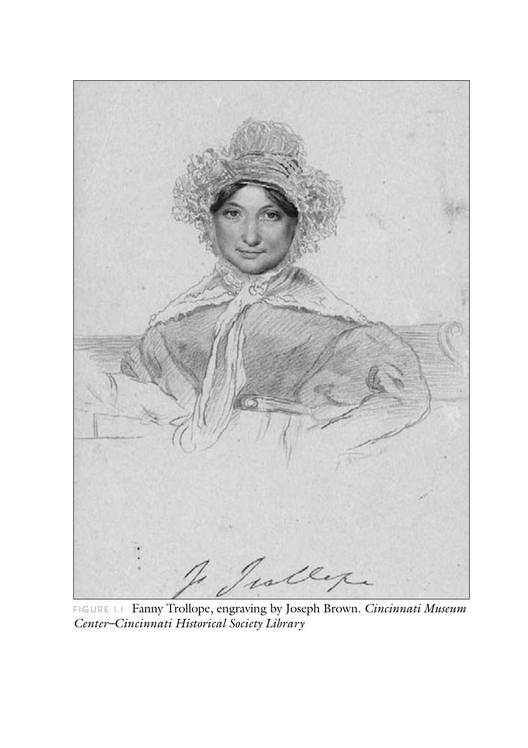

FIGURE LI Fanny Trollope, engraving by Joseph Brown. Cincinnati Museum<br>Center-Cincinnati Historical Society Library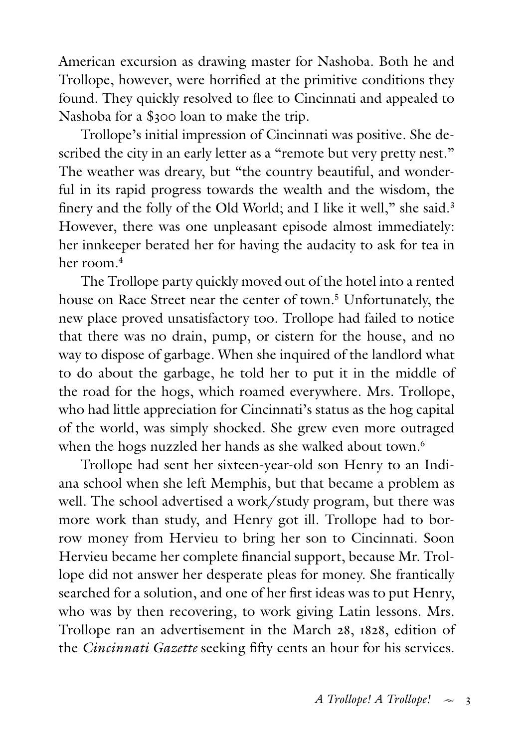American excursion as drawing master for Nashoba. Both he and Trollope, however, were horrified at the primitive conditions they found. They quickly resolved to flee to Cincinnati and appealed to Nashoba for a \$300 loan to make the trip.

Trollope's initial impression of Cincinnati was positive. She described the city in an early letter as a "remote but very pretty nest." The weather was dreary, but "the country beautiful, and wonderful in its rapid progress towards the wealth and the wisdom, the finery and the folly of the Old World; and I like it well," she said.<sup>3</sup> However, there was one unpleasant episode almost immediately: her innkeeper berated her for having the audacity to ask for tea in her room.4

The Trollope party quickly moved out of the hotel into a rented house on Race Street near the center of town.<sup>5</sup> Unfortunately, the new place proved unsatisfactory too. Trollope had failed to notice that there was no drain, pump, or cistern for the house, and no way to dispose of garbage. When she inquired of the landlord what to do about the garbage, he told her to put it in the middle of the road for the hogs, which roamed everywhere. Mrs. Trollope, who had little appreciation for Cincinnati's status as the hog capital of the world, was simply shocked. She grew even more outraged when the hogs nuzzled her hands as she walked about town.<sup>6</sup>

Trollope had sent her sixteen-year-old son Henry to an Indiana school when she left Memphis, but that became a problem as well. The school advertised a work/study program, but there was more work than study, and Henry got ill. Trollope had to borrow money from Hervieu to bring her son to Cincinnati. Soon Hervieu became her complete financial support, because Mr. Trollope did not answer her desperate pleas for money. She frantically searched for a solution, and one of her first ideas was to put Henry, who was by then recovering, to work giving Latin lessons. Mrs. Trollope ran an advertisement in the March 28, 1828, edition of the *Cincinnati Gazette* seeking fifty cents an hour for his services.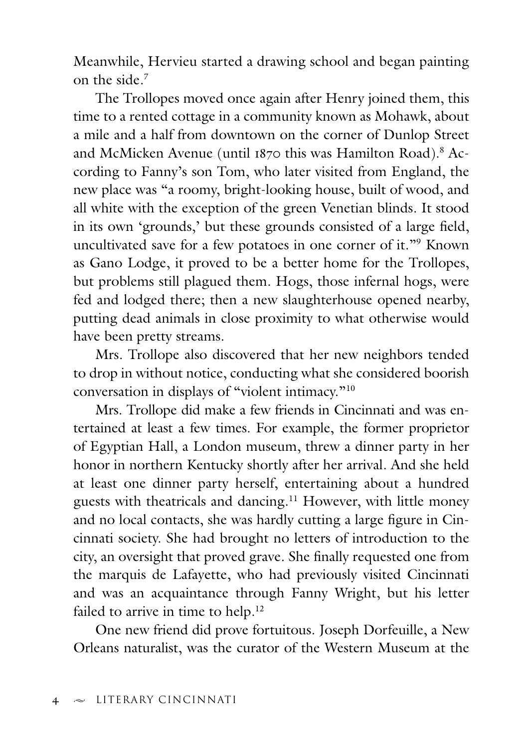Meanwhile, Hervieu started a drawing school and began painting on the side.7

The Trollopes moved once again after Henry joined them, this time to a rented cottage in a community known as Mohawk, about a mile and a half from downtown on the corner of Dunlop Street and McMicken Avenue (until 1870 this was Hamilton Road).<sup>8</sup> According to Fanny's son Tom, who later visited from England, the new place was "a roomy, bright-looking house, built of wood, and all white with the exception of the green Venetian blinds. It stood in its own 'grounds,' but these grounds consisted of a large field, uncultivated save for a few potatoes in one corner of it."9 Known as Gano Lodge, it proved to be a better home for the Trollopes, but problems still plagued them. Hogs, those infernal hogs, were fed and lodged there; then a new slaughterhouse opened nearby, putting dead animals in close proximity to what otherwise would have been pretty streams.

Mrs. Trollope also discovered that her new neighbors tended to drop in without notice, conducting what she considered boorish conversation in displays of "violent intimacy."10

Mrs. Trollope did make a few friends in Cincinnati and was entertained at least a few times. For example, the former proprietor of Egyptian Hall, a London museum, threw a dinner party in her honor in northern Kentucky shortly after her arrival. And she held at least one dinner party herself, entertaining about a hundred guests with theatricals and dancing.11 However, with little money and no local contacts, she was hardly cutting a large figure in Cincinnati society. She had brought no letters of introduction to the city, an oversight that proved grave. She finally requested one from the marquis de Lafayette, who had previously visited Cincinnati and was an acquaintance through Fanny Wright, but his letter failed to arrive in time to help.<sup>12</sup>

One new friend did prove fortuitous. Joseph Dorfeuille, a New Orleans naturalist, was the curator of the Western Museum at the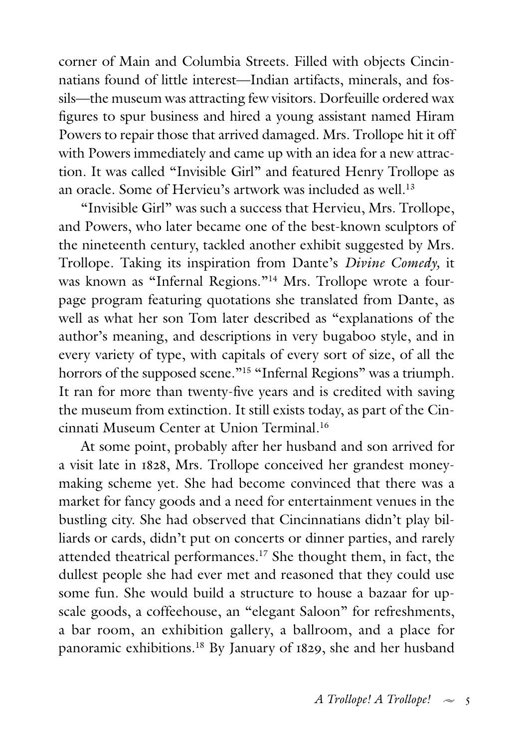corner of Main and Columbia Streets. Filled with objects Cincinnatians found of little interest—Indian artifacts, minerals, and fossils—the museum was attracting few visitors. Dorfeuille ordered wax figures to spur business and hired a young assistant named Hiram Powers to repair those that arrived damaged. Mrs. Trollope hit it off with Powers immediately and came up with an idea for a new attraction. It was called "Invisible Girl" and featured Henry Trollope as an oracle. Some of Hervieu's artwork was included as well.<sup>13</sup>

"Invisible Girl" was such a success that Hervieu, Mrs. Trollope, and Powers, who later became one of the best-known sculptors of the nineteenth century, tackled another exhibit suggested by Mrs. Trollope. Taking its inspiration from Dante's *Divine Comedy,* it was known as "Infernal Regions."<sup>14</sup> Mrs. Trollope wrote a fourpage program featuring quotations she translated from Dante, as well as what her son Tom later described as "explanations of the author's meaning, and descriptions in very bugaboo style, and in every variety of type, with capitals of every sort of size, of all the horrors of the supposed scene."<sup>15</sup> "Infernal Regions" was a triumph. It ran for more than twenty-five years and is credited with saving the museum from extinction. It still exists today, as part of the Cincinnati Museum Center at Union Terminal.16

At some point, probably after her husband and son arrived for a visit late in 1828, Mrs. Trollope conceived her grandest moneymaking scheme yet. She had become convinced that there was a market for fancy goods and a need for entertainment venues in the bustling city. She had observed that Cincinnatians didn't play billiards or cards, didn't put on concerts or dinner parties, and rarely attended theatrical performances.17 She thought them, in fact, the dullest people she had ever met and reasoned that they could use some fun. She would build a structure to house a bazaar for upscale goods, a coffeehouse, an "elegant Saloon" for refreshments, a bar room, an exhibition gallery, a ballroom, and a place for panoramic exhibitions.18 By January of 1829, she and her husband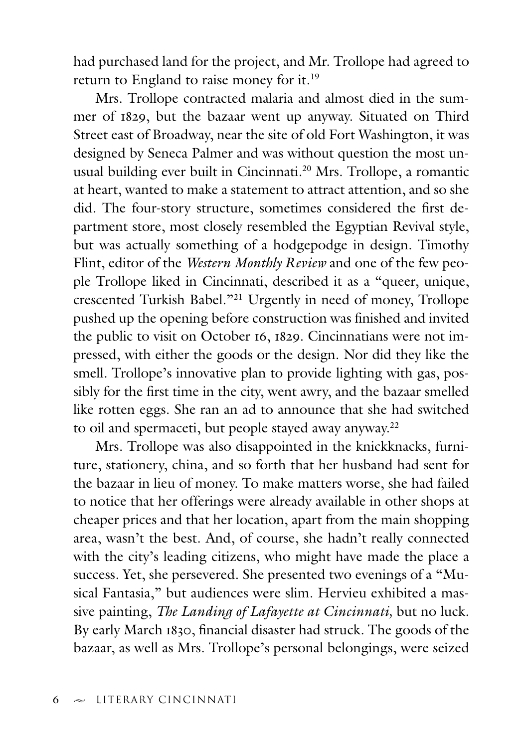had purchased land for the project, and Mr. Trollope had agreed to return to England to raise money for it.19

Mrs. Trollope contracted malaria and almost died in the summer of 1829, but the bazaar went up anyway. Situated on Third Street east of Broadway, near the site of old Fort Washington, it was designed by Seneca Palmer and was without question the most unusual building ever built in Cincinnati.20 Mrs. Trollope, a romantic at heart, wanted to make a statement to attract attention, and so she did. The four-story structure, sometimes considered the first department store, most closely resembled the Egyptian Revival style, but was actually something of a hodgepodge in design. Timothy Flint, editor of the *Western Monthly Review* and one of the few people Trollope liked in Cincinnati, described it as a "queer, unique, crescented Turkish Babel."21 Urgently in need of money, Trollope pushed up the opening before construction was finished and invited the public to visit on October 16, 1829. Cincinnatians were not impressed, with either the goods or the design. Nor did they like the smell. Trollope's innovative plan to provide lighting with gas, possibly for the first time in the city, went awry, and the bazaar smelled like rotten eggs. She ran an ad to announce that she had switched to oil and spermaceti, but people stayed away anyway.<sup>22</sup>

Mrs. Trollope was also disappointed in the knickknacks, furniture, stationery, china, and so forth that her husband had sent for the bazaar in lieu of money. To make matters worse, she had failed to notice that her offerings were already available in other shops at cheaper prices and that her location, apart from the main shopping area, wasn't the best. And, of course, she hadn't really connected with the city's leading citizens, who might have made the place a success. Yet, she persevered. She presented two evenings of a "Musical Fantasia," but audiences were slim. Hervieu exhibited a massive painting, *The Landing of Lafayette at Cincinnati,* but no luck. By early March 1830, financial disaster had struck. The goods of the bazaar, as well as Mrs. Trollope's personal belongings, were seized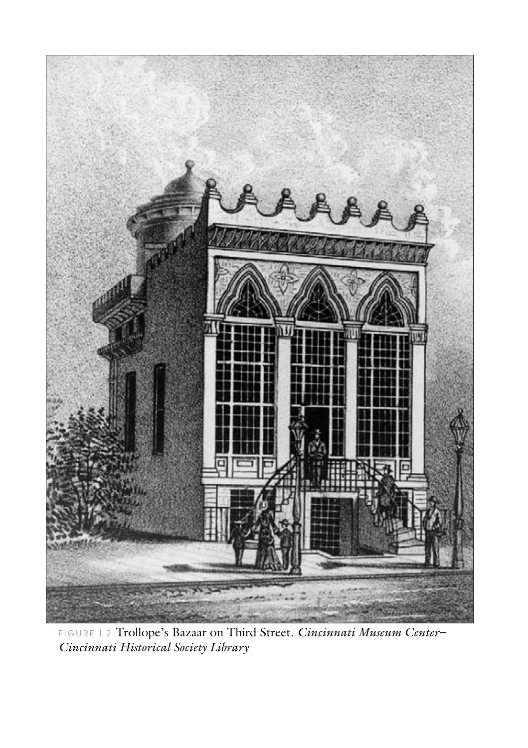

FIGURE 1.2 Trollope's Bazaar on Third Street. Cincinnati Museum Center-<br>Cincinnati Historical Society Library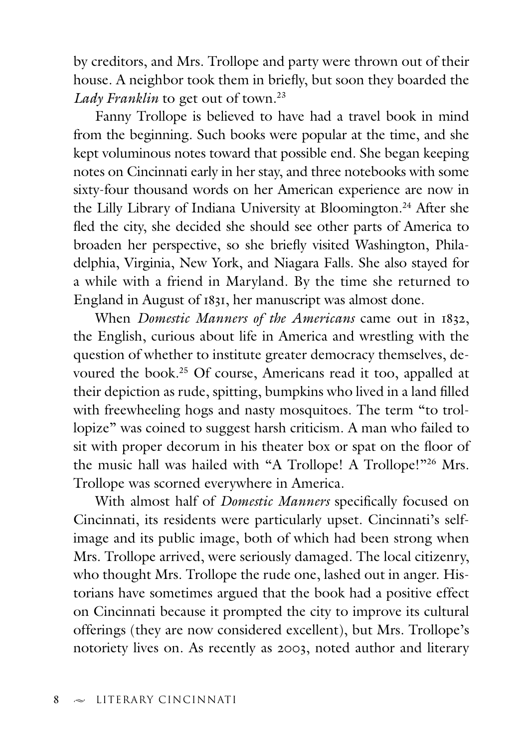by creditors, and Mrs. Trollope and party were thrown out of their house. A neighbor took them in briefly, but soon they boarded the Lady Franklin to get out of town.<sup>23</sup>

Fanny Trollope is believed to have had a travel book in mind from the beginning. Such books were popular at the time, and she kept voluminous notes toward that possible end. She began keeping notes on Cincinnati early in her stay, and three notebooks with some sixty-four thousand words on her American experience are now in the Lilly Library of Indiana University at Bloomington.<sup>24</sup> After she fled the city, she decided she should see other parts of America to broaden her perspective, so she briefly visited Washington, Philadelphia, Virginia, New York, and Niagara Falls. She also stayed for a while with a friend in Maryland. By the time she returned to England in August of 1831, her manuscript was almost done.

When *Domestic Manners of the Americans* came out in 1832, the English, curious about life in America and wrestling with the question of whether to institute greater democracy themselves, devoured the book.25 Of course, Americans read it too, appalled at their depiction as rude, spitting, bumpkins who lived in a land filled with freewheeling hogs and nasty mosquitoes. The term "to trollopize" was coined to suggest harsh criticism. A man who failed to sit with proper decorum in his theater box or spat on the floor of the music hall was hailed with "A Trollope! A Trollope!"<sup>26</sup> Mrs. Trollope was scorned everywhere in America.

With almost half of *Domestic Manners* specifically focused on Cincinnati, its residents were particularly upset. Cincinnati's selfimage and its public image, both of which had been strong when Mrs. Trollope arrived, were seriously damaged. The local citizenry, who thought Mrs. Trollope the rude one, lashed out in anger. Historians have sometimes argued that the book had a positive effect on Cincinnati because it prompted the city to improve its cultural offerings (they are now considered excellent), but Mrs. Trollope's notoriety lives on. As recently as 2003, noted author and literary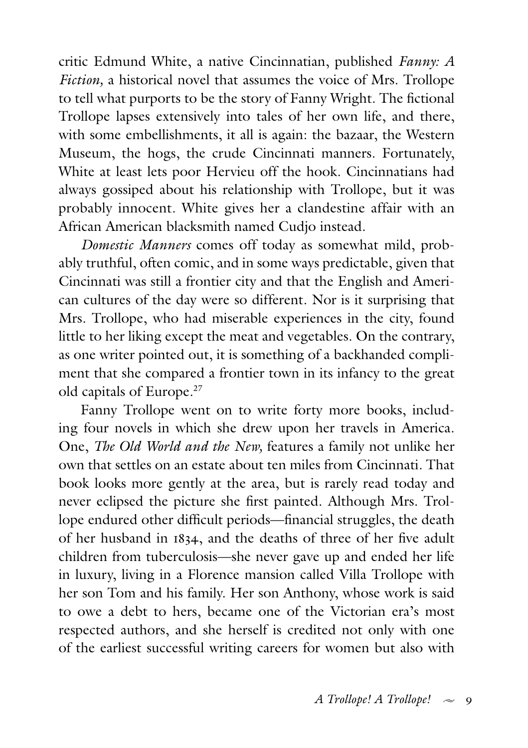critic Edmund White, a native Cincinnatian, published *Fanny: A Fiction,* a historical novel that assumes the voice of Mrs. Trollope to tell what purports to be the story of Fanny Wright. The fictional Trollope lapses extensively into tales of her own life, and there, with some embellishments, it all is again: the bazaar, the Western Museum, the hogs, the crude Cincinnati manners. Fortunately, White at least lets poor Hervieu off the hook. Cincinnatians had always gossiped about his relationship with Trollope, but it was probably innocent. White gives her a clandestine affair with an African American blacksmith named Cudjo instead.

*Domestic Manners* comes off today as somewhat mild, probably truthful, often comic, and in some ways predictable, given that Cincinnati was still a frontier city and that the English and American cultures of the day were so different. Nor is it surprising that Mrs. Trollope, who had miserable experiences in the city, found little to her liking except the meat and vegetables. On the contrary, as one writer pointed out, it is something of a backhanded compliment that she compared a frontier town in its infancy to the great old capitals of Europe.27

Fanny Trollope went on to write forty more books, including four novels in which she drew upon her travels in America. One, *The Old World and the New,* features a family not unlike her own that settles on an estate about ten miles from Cincinnati. That book looks more gently at the area, but is rarely read today and never eclipsed the picture she first painted. Although Mrs. Trollope endured other difficult periods—financial struggles, the death of her husband in 1834, and the deaths of three of her five adult children from tuberculosis—she never gave up and ended her life in luxury, living in a Florence mansion called Villa Trollope with her son Tom and his family. Her son Anthony, whose work is said to owe a debt to hers, became one of the Victorian era's most respected authors, and she herself is credited not only with one of the earliest successful writing careers for women but also with